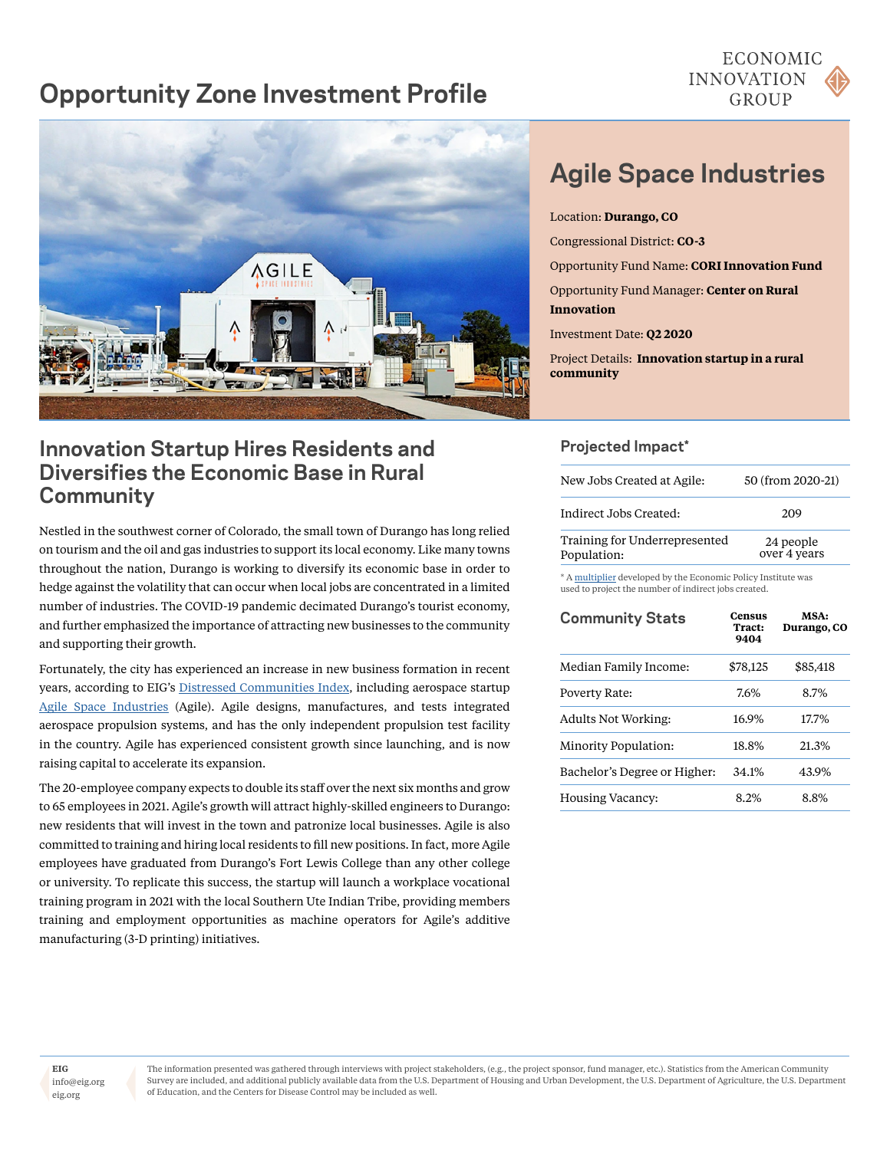# **Opportunity Zone Investment Profile**





# **Innovation Startup Hires Residents and Diversifies the Economic Base in Rural Community**

Nestled in the southwest corner of Colorado, the small town of Durango has long relied on tourism and the oil and gas industries to support its local economy. Like many towns throughout the nation, Durango is working to diversify its economic base in order to hedge against the volatility that can occur when local jobs are concentrated in a limited number of industries. The COVID-19 pandemic decimated Durango's tourist economy, and further emphasized the importance of attracting new businesses to the community and supporting their growth.

Fortunately, the city has experienced an increase in new business formation in recent years, according to EIG's [Distressed Communities Index](https://eig.org/dci), including aerospace startup [Agile Space Industries](http://agile.space) (Agile). Agile designs, manufactures, and tests integrated aerospace propulsion systems, and has the only independent propulsion test facility in the country. Agile has experienced consistent growth since launching, and is now raising capital to accelerate its expansion.

The 20-employee company expects to double its staff over the next six months and grow to 65 employees in 2021. Agile's growth will attract highly-skilled engineers to Durango: new residents that will invest in the town and patronize local businesses. Agile is also committed to training and hiring local residents to fill new positions. In fact, more Agile employees have graduated from Durango's Fort Lewis College than any other college or university. To replicate this success, the startup will launch a workplace vocational training program in 2021 with the local Southern Ute Indian Tribe, providing members training and employment opportunities as machine operators for Agile's additive manufacturing (3-D printing) initiatives.

# **Agile Space Industries**

Location: **Durango, CO** Congressional District: **CO-3** Opportunity Fund Name: **CORI Innovation Fund** Opportunity Fund Manager: **Center on Rural Innovation**  Investment Date: **Q2 2020**

Project Details: **Innovation startup in a rural community**

# **Projected Impact\***

| New Jobs Created at Agile:                   | 50 (from 2020-21)         |  |
|----------------------------------------------|---------------------------|--|
| Indirect Jobs Created:                       | 209                       |  |
| Training for Underrepresented<br>Population: | 24 people<br>over 4 years |  |

\* A [multiplier](https://www.epi.org/publication/updated-employment-multipliers-for-the-u-s-economy/) developed by the Economic Policy Institute was used to project the number of indirect jobs created.

| <b>Community Stats</b>       | <b>Census</b><br>Tract:<br>9404 | MSA:<br><b>Durango, CO</b> |
|------------------------------|---------------------------------|----------------------------|
| Median Family Income:        | \$78,125                        | \$85,418                   |
| Poverty Rate:                | 7.6%                            | 8.7%                       |
| <b>Adults Not Working:</b>   | 16.9%                           | 17.7%                      |
| Minority Population:         | 18.8%                           | 21.3%                      |
| Bachelor's Degree or Higher: | 34.1%                           | 43.9%                      |
| Housing Vacancy:             | 8.2%                            | 8.8%                       |